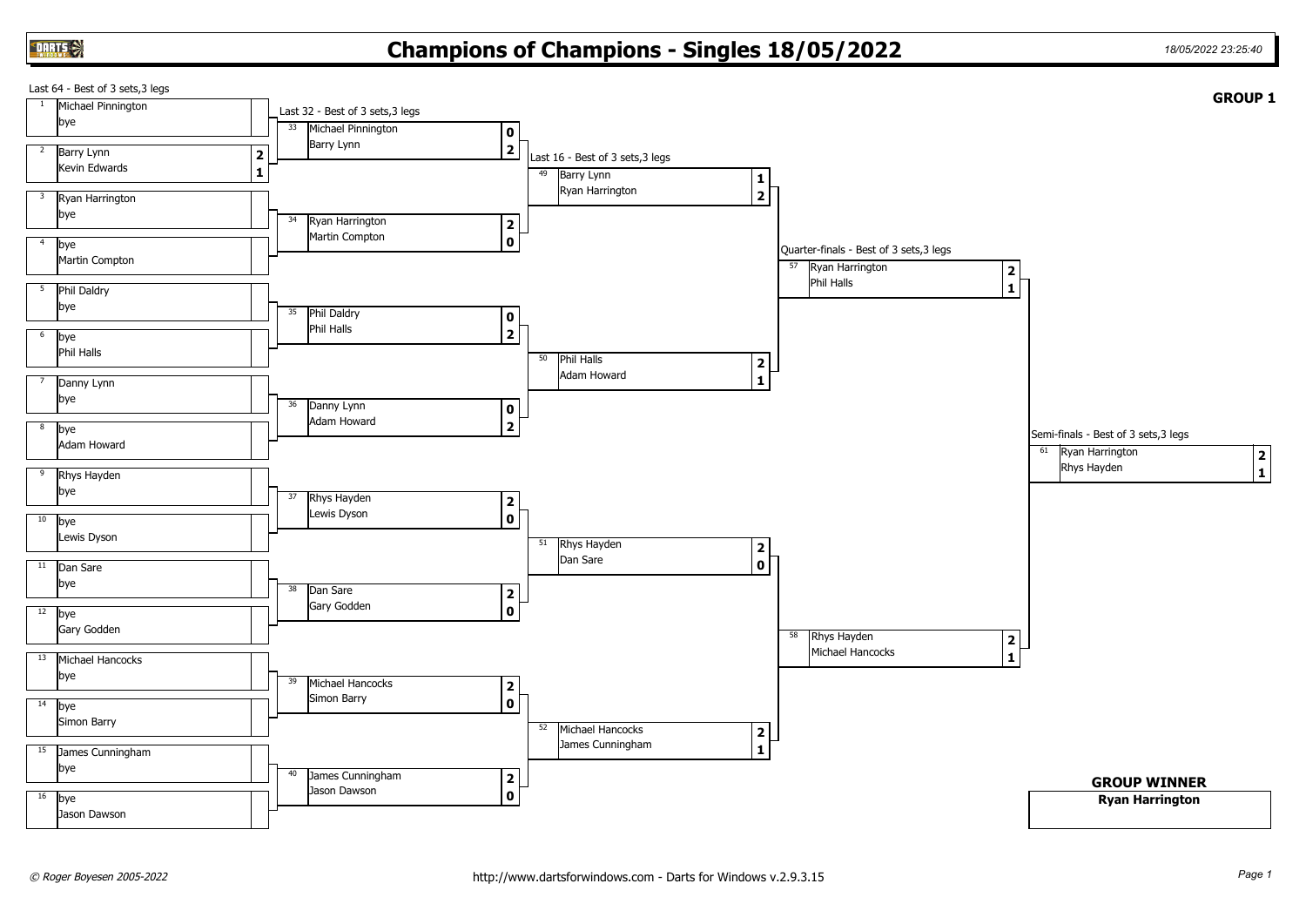## **Champions of Champions - Singles 18/05/2022** *18/05/2022 23:25:40*

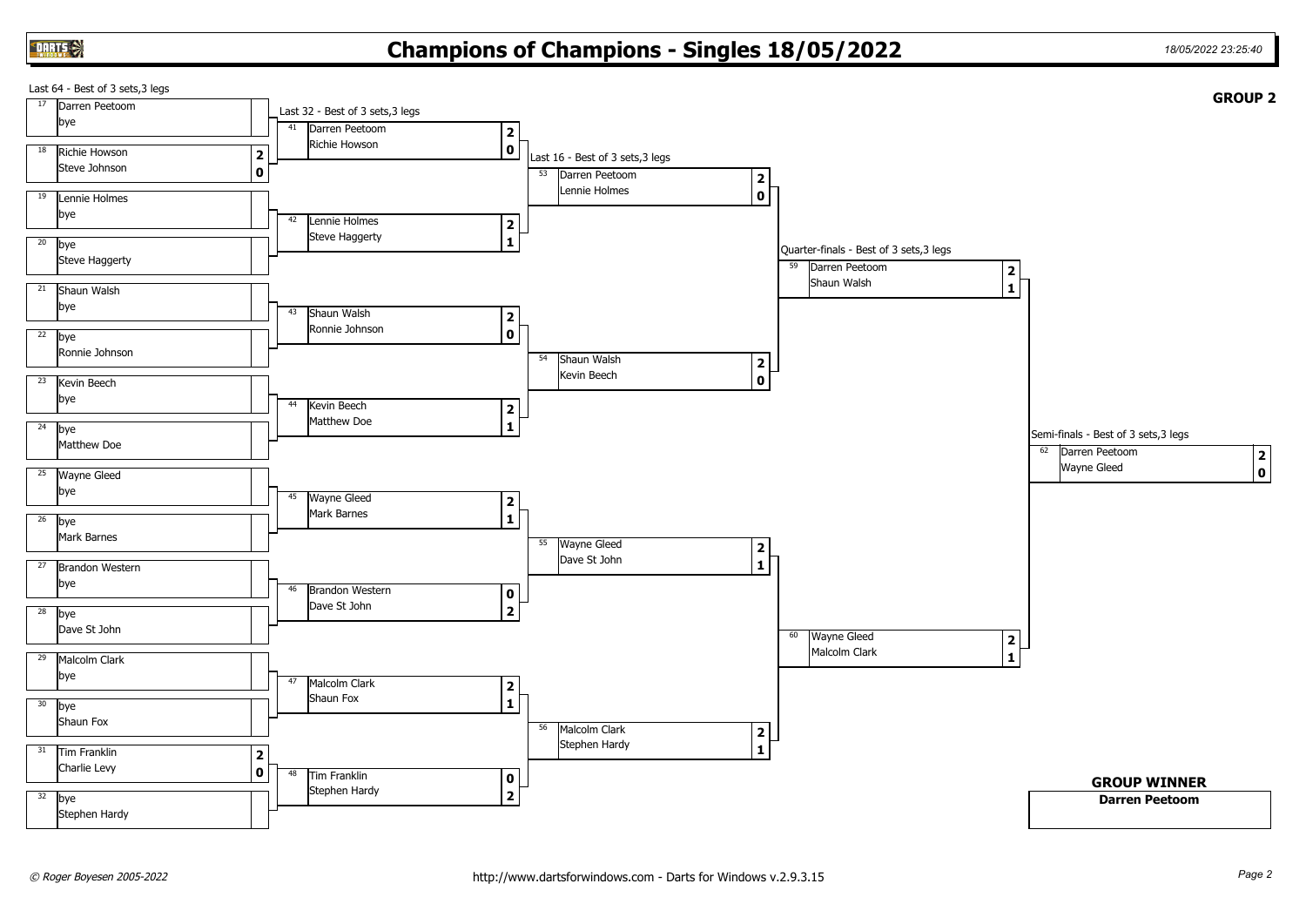## **Champions of Champions - Singles 18/05/2022** *18/05/2022 23:25:40*